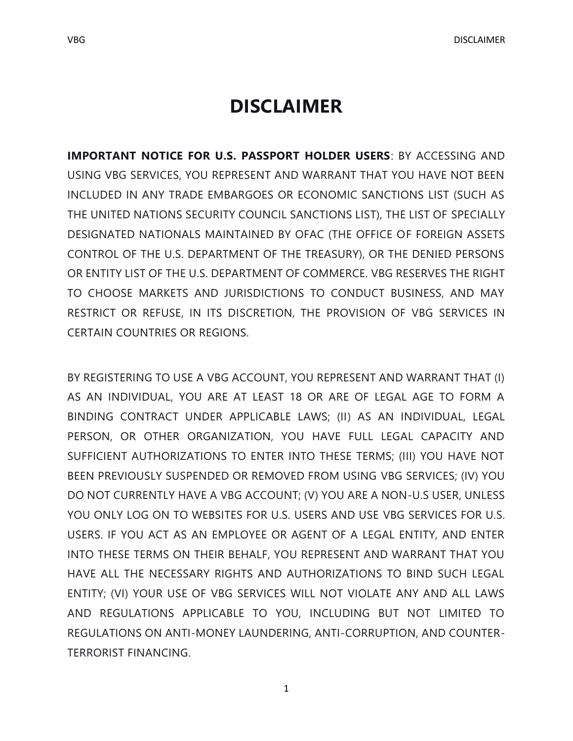**IMPORTANT NOTICE FOR U.S. PASSPORT HOLDER USERS**: BY ACCESSING AND USING VBG SERVICES, YOU REPRESENT AND WARRANT THAT YOU HAVE NOT BEEN INCLUDED IN ANY TRADE EMBARGOES OR ECONOMIC SANCTIONS LIST (SUCH AS THE UNITED NATIONS SECURITY COUNCIL SANCTIONS LIST), THE LIST OF SPECIALLY DESIGNATED NATIONALS MAINTAINED BY OFAC (THE OFFICE OF FOREIGN ASSETS CONTROL OF THE U.S. DEPARTMENT OF THE TREASURY), OR THE DENIED PERSONS OR ENTITY LIST OF THE U.S. DEPARTMENT OF COMMERCE. VBG RESERVES THE RIGHT TO CHOOSE MARKETS AND JURISDICTIONS TO CONDUCT BUSINESS, AND MAY RESTRICT OR REFUSE, IN ITS DISCRETION, THE PROVISION OF VBG SERVICES IN CERTAIN COUNTRIES OR REGIONS.

BY REGISTERING TO USE A VBG ACCOUNT, YOU REPRESENT AND WARRANT THAT (I) AS AN INDIVIDUAL, YOU ARE AT LEAST 18 OR ARE OF LEGAL AGE TO FORM A BINDING CONTRACT UNDER APPLICABLE LAWS; (II) AS AN INDIVIDUAL, LEGAL PERSON, OR OTHER ORGANIZATION, YOU HAVE FULL LEGAL CAPACITY AND SUFFICIENT AUTHORIZATIONS TO ENTER INTO THESE TERMS; (III) YOU HAVE NOT BEEN PREVIOUSLY SUSPENDED OR REMOVED FROM USING VBG SERVICES; (IV) YOU DO NOT CURRENTLY HAVE A VBG ACCOUNT; (V) YOU ARE A NON-U.S USER, UNLESS YOU ONLY LOG ON TO WEBSITES FOR U.S. USERS AND USE VBG SERVICES FOR U.S. USERS. IF YOU ACT AS AN EMPLOYEE OR AGENT OF A LEGAL ENTITY, AND ENTER INTO THESE TERMS ON THEIR BEHALF, YOU REPRESENT AND WARRANT THAT YOU HAVE ALL THE NECESSARY RIGHTS AND AUTHORIZATIONS TO BIND SUCH LEGAL ENTITY; (VI) YOUR USE OF VBG SERVICES WILL NOT VIOLATE ANY AND ALL LAWS AND REGULATIONS APPLICABLE TO YOU, INCLUDING BUT NOT LIMITED TO REGULATIONS ON ANTI-MONEY LAUNDERING, ANTI-CORRUPTION, AND COUNTER-TERRORIST FINANCING.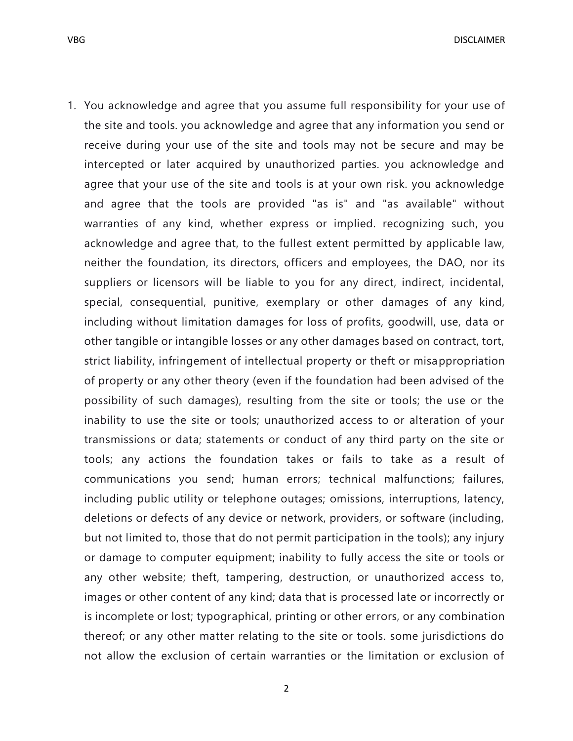VBG DISCLAIMER

1. You acknowledge and agree that you assume full responsibility for your use of the site and tools. you acknowledge and agree that any information you send or receive during your use of the site and tools may not be secure and may be intercepted or later acquired by unauthorized parties. you acknowledge and agree that your use of the site and tools is at your own risk. you acknowledge and agree that the tools are provided "as is" and "as available" without warranties of any kind, whether express or implied. recognizing such, you acknowledge and agree that, to the fullest extent permitted by applicable law, neither the foundation, its directors, officers and employees, the DAO, nor its suppliers or licensors will be liable to you for any direct, indirect, incidental, special, consequential, punitive, exemplary or other damages of any kind, including without limitation damages for loss of profits, goodwill, use, data or other tangible or intangible losses or any other damages based on contract, tort, strict liability, infringement of intellectual property or theft or misappropriation of property or any other theory (even if the foundation had been advised of the possibility of such damages), resulting from the site or tools; the use or the inability to use the site or tools; unauthorized access to or alteration of your transmissions or data; statements or conduct of any third party on the site or tools; any actions the foundation takes or fails to take as a result of communications you send; human errors; technical malfunctions; failures, including public utility or telephone outages; omissions, interruptions, latency, deletions or defects of any device or network, providers, or software (including, but not limited to, those that do not permit participation in the tools); any injury or damage to computer equipment; inability to fully access the site or tools or any other website; theft, tampering, destruction, or unauthorized access to, images or other content of any kind; data that is processed late or incorrectly or is incomplete or lost; typographical, printing or other errors, or any combination thereof; or any other matter relating to the site or tools. some jurisdictions do not allow the exclusion of certain warranties or the limitation or exclusion of

2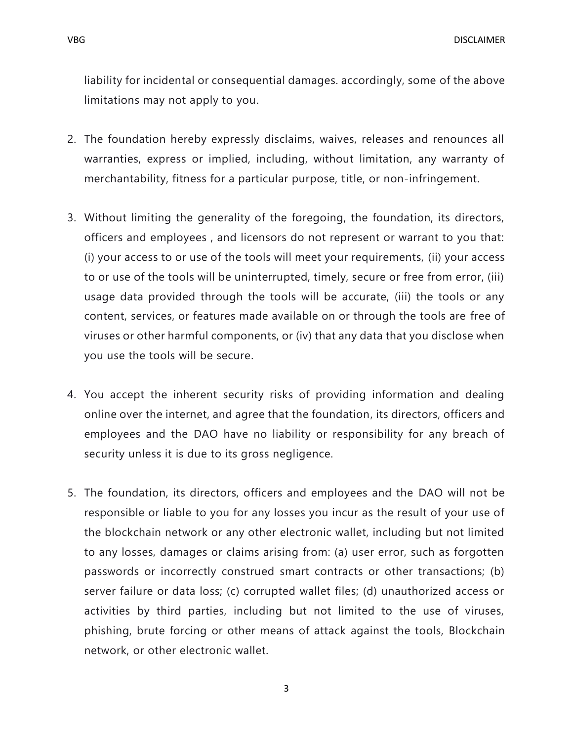liability for incidental or consequential damages. accordingly, some of the above limitations may not apply to you.

- 2. The foundation hereby expressly disclaims, waives, releases and renounces all warranties, express or implied, including, without limitation, any warranty of merchantability, fitness for a particular purpose, title, or non-infringement.
- 3. Without limiting the generality of the foregoing, the foundation, its directors, officers and employees , and licensors do not represent or warrant to you that: (i) your access to or use of the tools will meet your requirements, (ii) your access to or use of the tools will be uninterrupted, timely, secure or free from error, (iii) usage data provided through the tools will be accurate, (iii) the tools or any content, services, or features made available on or through the tools are free of viruses or other harmful components, or (iv) that any data that you disclose when you use the tools will be secure.
- 4. You accept the inherent security risks of providing information and dealing online over the internet, and agree that the foundation, its directors, officers and employees and the DAO have no liability or responsibility for any breach of security unless it is due to its gross negligence.
- 5. The foundation, its directors, officers and employees and the DAO will not be responsible or liable to you for any losses you incur as the result of your use of the blockchain network or any other electronic wallet, including but not limited to any losses, damages or claims arising from: (a) user error, such as forgotten passwords or incorrectly construed smart contracts or other transactions; (b) server failure or data loss; (c) corrupted wallet files; (d) unauthorized access or activities by third parties, including but not limited to the use of viruses, phishing, brute forcing or other means of attack against the tools, Blockchain network, or other electronic wallet.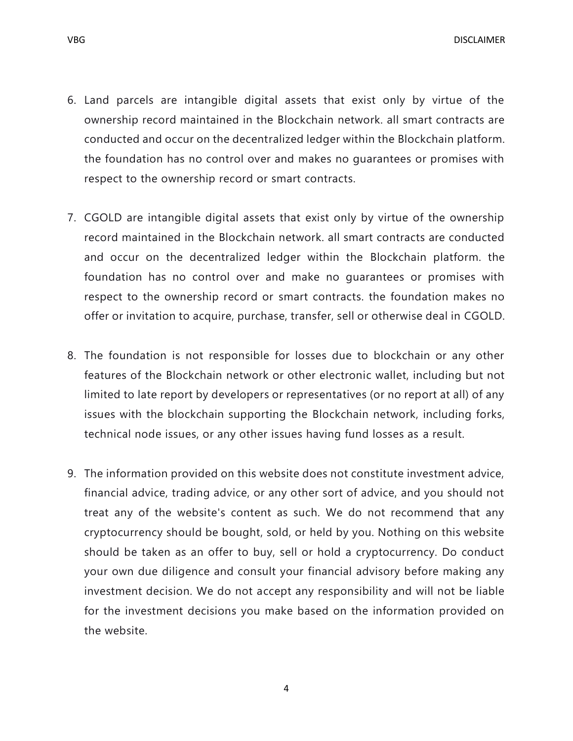VBG DISCLAIMER

- 6. Land parcels are intangible digital assets that exist only by virtue of the ownership record maintained in the Blockchain network. all smart contracts are conducted and occur on the decentralized ledger within the Blockchain platform. the foundation has no control over and makes no guarantees or promises with respect to the ownership record or smart contracts.
- 7. CGOLD are intangible digital assets that exist only by virtue of the ownership record maintained in the Blockchain network. all smart contracts are conducted and occur on the decentralized ledger within the Blockchain platform. the foundation has no control over and make no guarantees or promises with respect to the ownership record or smart contracts. the foundation makes no offer or invitation to acquire, purchase, transfer, sell or otherwise deal in CGOLD.
- 8. The foundation is not responsible for losses due to blockchain or any other features of the Blockchain network or other electronic wallet, including but not limited to late report by developers or representatives (or no report at all) of any issues with the blockchain supporting the Blockchain network, including forks, technical node issues, or any other issues having fund losses as a result.
- 9. The information provided on this website does not constitute investment advice, financial advice, trading advice, or any other sort of advice, and you should not treat any of the website's content as such. We do not recommend that any cryptocurrency should be bought, sold, or held by you. Nothing on this website should be taken as an offer to buy, sell or hold a cryptocurrency. Do conduct your own due diligence and consult your financial advisory before making any investment decision. We do not accept any responsibility and will not be liable for the investment decisions you make based on the information provided on the website.